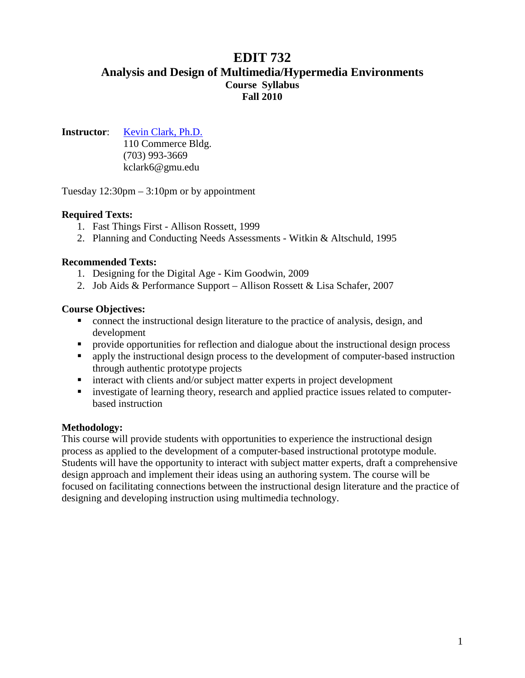# **EDIT 732 Analysis and Design of Multimedia/Hypermedia Environments Course Syllabus Fall 2010**

**Instructor**: [Kevin Clark, Ph.D.](http://mason.gmu.edu/~kclark6/)

110 Commerce Bldg. (703) 993-3669 kclark6@gmu.edu

Tuesday 12:30pm – 3:10pm or by appointment

### **Required Texts:**

- 1. Fast Things First Allison Rossett, 1999
- 2. Planning and Conducting Needs Assessments Witkin & Altschuld, 1995

#### **Recommended Texts:**

- 1. Designing for the Digital Age Kim Goodwin, 2009
- 2. Job Aids & Performance Support Allison Rossett & Lisa Schafer, 2007

#### **Course Objectives:**

- connect the instructional design literature to the practice of analysis, design, and development
- **Perovide opportunities for reflection and dialogue about the instructional design process**
- **•** apply the instructional design process to the development of computer-based instruction through authentic prototype projects
- **interact with clients and/or subject matter experts in project development**
- **ightharror investigate of learning theory, research and applied practice issues related to computer**based instruction

### **Methodology:**

This course will provide students with opportunities to experience the instructional design process as applied to the development of a computer-based instructional prototype module. Students will have the opportunity to interact with subject matter experts, draft a comprehensive design approach and implement their ideas using an authoring system. The course will be focused on facilitating connections between the instructional design literature and the practice of designing and developing instruction using multimedia technology.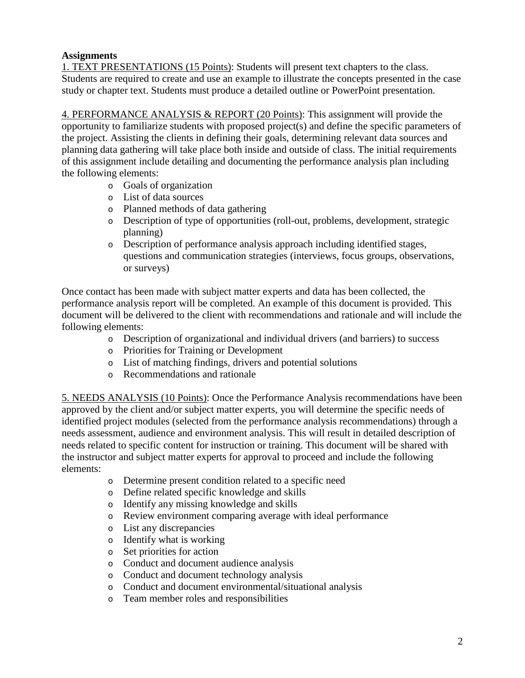## **Assignments**

1. TEXT PRESENTATIONS (15 Points): Students will present text chapters to the class. Students are required to create and use an example to illustrate the concepts presented in the case study or chapter text. Students must produce a detailed outline or PowerPoint presentation.

4. PERFORMANCE ANALYSIS & REPORT (20 Points): This assignment will provide the opportunity to familiarize students with proposed project(s) and define the specific parameters of the project. Assisting the clients in defining their goals, determining relevant data sources and planning data gathering will take place both inside and outside of class. The initial requirements of this assignment include detailing and documenting the performance analysis plan including the following elements:

- o Goals of organization
- o List of data sources
- o Planned methods of data gathering
- o Description of type of opportunities (roll-out, problems, development, strategic planning)
- o Description of performance analysis approach including identified stages, questions and communication strategies (interviews, focus groups, observations, or surveys)

Once contact has been made with subject matter experts and data has been collected, the performance analysis report will be completed. An example of this document is provided. This document will be delivered to the client with recommendations and rationale and will include the following elements:

- o Description of organizational and individual drivers (and barriers) to success
- o Priorities for Training or Development
- o List of matching findings, drivers and potential solutions
- o Recommendations and rationale

5. NEEDS ANALYSIS (10 Points): Once the Performance Analysis recommendations have been approved by the client and/or subject matter experts, you will determine the specific needs of identified project modules (selected from the performance analysis recommendations) through a needs assessment, audience and environment analysis. This will result in detailed description of needs related to specific content for instruction or training. This document will be shared with the instructor and subject matter experts for approval to proceed and include the following elements:

- o Determine present condition related to a specific need
- o Define related specific knowledge and skills
- o Identify any missing knowledge and skills
- o Review environment comparing average with ideal performance
- o List any discrepancies
- o Identify what is working
- o Set priorities for action
- o Conduct and document audience analysis
- o Conduct and document technology analysis
- o Conduct and document environmental/situational analysis
- o Team member roles and responsibilities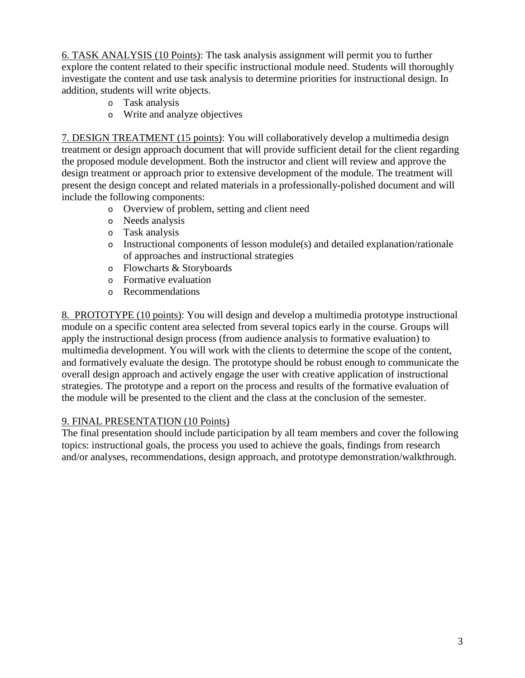6. TASK ANALYSIS (10 Points): The task analysis assignment will permit you to further explore the content related to their specific instructional module need. Students will thoroughly investigate the content and use task analysis to determine priorities for instructional design. In addition, students will write objects.

- o Task analysis
- o Write and analyze objectives

7. DESIGN TREATMENT (15 points): You will collaboratively develop a multimedia design treatment or design approach document that will provide sufficient detail for the client regarding the proposed module development. Both the instructor and client will review and approve the design treatment or approach prior to extensive development of the module. The treatment will present the design concept and related materials in a professionally-polished document and will include the following components:

- o Overview of problem, setting and client need
- o Needs analysis
- o Task analysis
- o Instructional components of lesson module(s) and detailed explanation/rationale of approaches and instructional strategies
- o Flowcharts & Storyboards
- o Formative evaluation
- o Recommendations

8. PROTOTYPE (10 points): You will design and develop a multimedia prototype instructional module on a specific content area selected from several topics early in the course. Groups will apply the instructional design process (from audience analysis to formative evaluation) to multimedia development. You will work with the clients to determine the scope of the content, and formatively evaluate the design. The prototype should be robust enough to communicate the overall design approach and actively engage the user with creative application of instructional strategies. The prototype and a report on the process and results of the formative evaluation of the module will be presented to the client and the class at the conclusion of the semester.

### 9. FINAL PRESENTATION (10 Points)

The final presentation should include participation by all team members and cover the following topics: instructional goals, the process you used to achieve the goals, findings from research and/or analyses, recommendations, design approach, and prototype demonstration/walkthrough.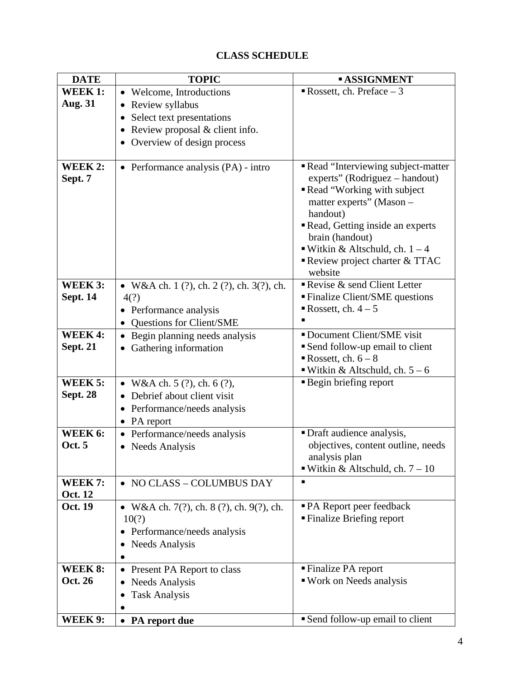# **CLASS SCHEDULE**

| <b>DATE</b>     | <b>TOPIC</b>                                                     | <b>ASSIGNMENT</b>                                                  |
|-----------------|------------------------------------------------------------------|--------------------------------------------------------------------|
| WEEK 1:         | • Welcome, Introductions                                         | Rossett, ch. Preface $-3$                                          |
| <b>Aug. 31</b>  | Review syllabus<br>$\bullet$                                     |                                                                    |
|                 | Select text presentations<br>٠                                   |                                                                    |
|                 | Review proposal & client info.<br>$\bullet$                      |                                                                    |
|                 | Overview of design process<br>$\bullet$                          |                                                                    |
|                 |                                                                  |                                                                    |
| WEEK 2:         | • Performance analysis $(PA)$ - intro                            | Read "Interviewing subject-matter                                  |
| Sept. 7         |                                                                  | experts" (Rodriguez – handout)                                     |
|                 |                                                                  | Read "Working with subject                                         |
|                 |                                                                  | matter experts" (Mason -                                           |
|                 |                                                                  | handout)                                                           |
|                 |                                                                  | Read, Getting inside an experts                                    |
|                 |                                                                  | brain (handout)                                                    |
|                 |                                                                  | ■ Witkin & Altschuld, ch. $1 - 4$<br>Review project charter & TTAC |
|                 |                                                                  | website                                                            |
| WEEK 3:         | • W&A ch. 1 $(?)$ , ch. 2 $(?)$ , ch. 3 $(?)$ , ch.              | Revise & send Client Letter                                        |
| <b>Sept. 14</b> | 4(?)                                                             | <b>Finalize Client/SME questions</b>                               |
|                 | • Performance analysis                                           | Rossett, ch. $4-5$                                                 |
|                 | <b>Questions for Client/SME</b>                                  |                                                                    |
| WEEK 4:         | Begin planning needs analysis                                    | Document Client/SME visit                                          |
| <b>Sept. 21</b> | Gathering information                                            | Send follow-up email to client                                     |
|                 |                                                                  | Rossett, ch. $6 - 8$                                               |
|                 |                                                                  | ■ Witkin & Altschuld, ch. $5 - 6$                                  |
| WEEK 5:         | • W&A ch. 5 $(?)$ , ch. 6 $(?)$ ,                                | <b>Begin briefing report</b>                                       |
| <b>Sept. 28</b> | Debrief about client visit                                       |                                                                    |
|                 | Performance/needs analysis<br>$\bullet$                          |                                                                    |
|                 | PA report<br>$\bullet$                                           |                                                                    |
| WEEK 6:         | • Performance/needs analysis                                     | • Draft audience analysis,                                         |
| <b>Oct.</b> 5   | • Needs Analysis                                                 | objectives, content outline, needs                                 |
|                 |                                                                  | analysis plan                                                      |
|                 |                                                                  | ■ Witkin & Altschuld, ch. $7 - 10$                                 |
| <b>WEEK 7:</b>  | • NO CLASS - COLUMBUS DAY                                        | ٠                                                                  |
| Oct. 12         |                                                                  |                                                                    |
| <b>Oct. 19</b>  | • W&A ch. 7(?), ch. 8 (?), ch. 9(?), ch.                         | • PA Report peer feedback                                          |
|                 | 10(?)                                                            | ■ Finalize Briefing report                                         |
|                 | • Performance/needs analysis                                     |                                                                    |
|                 | <b>Needs Analysis</b>                                            |                                                                    |
| WEEK 8:         |                                                                  | ■ Finalize PA report                                               |
| Oct. 26         | Present PA Report to class<br>$\bullet$<br><b>Needs Analysis</b> | ■ Work on Needs analysis                                           |
|                 | $\bullet$<br><b>Task Analysis</b>                                |                                                                    |
|                 |                                                                  |                                                                    |
| <b>WEEK 9:</b>  | • PA report due                                                  | Send follow-up email to client                                     |